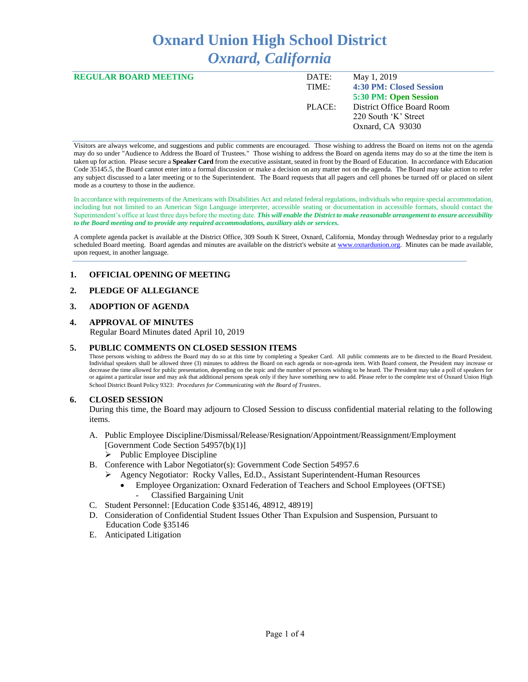# **Oxnard Union High School District** *Oxnard, California*

| <b>REGULAR BOARD MEETING</b> | DATE:<br>TIME: | May 1, 2019<br>4:30 PM: Closed Session                                                          |
|------------------------------|----------------|-------------------------------------------------------------------------------------------------|
|                              | PLACE:         | 5:30 PM: Open Session<br>District Office Board Room<br>220 South 'K' Street<br>Oxnard, CA 93030 |

Visitors are always welcome, and suggestions and public comments are encouraged. Those wishing to address the Board on items not on the agenda may do so under "Audience to Address the Board of Trustees." Those wishing to address the Board on agenda items may do so at the time the item is taken up for action. Please secure a **Speaker Card** from the executive assistant, seated in front by the Board of Education. In accordance with Education Code 35145.5, the Board cannot enter into a formal discussion or make a decision on any matter not on the agenda. The Board may take action to refer any subject discussed to a later meeting or to the Superintendent. The Board requests that all pagers and cell phones be turned off or placed on silent mode as a courtesy to those in the audience.

In accordance with requirements of the Americans with Disabilities Act and related federal regulations, individuals who require special accommodation, including but not limited to an American Sign Language interpreter, accessible seating or documentation in accessible formats, should contact the Superintendent's office at least three days before the meeting date. *This will enable the District to make reasonable arrangement to ensure accessibility to the Board meeting and to provide any required accommodations, auxiliary aids or services.* 

A complete agenda packet is available at the District Office, 309 South K Street, Oxnard, California, Monday through Wednesday prior to a regularly scheduled Board meeting. Board agendas and minutes are available on the district's website a[t www.ox](http://www.o/)nardunion.org.Minutes can be made available, upon request, in another language.

## **1. OFFICIAL OPENING OF MEETING**

## **2. PLEDGE OF ALLEGIANCE**

#### **3. ADOPTION OF AGENDA**

#### **4. APPROVAL OF MINUTES**

Regular Board Minutes dated April 10, 2019

#### **5. PUBLIC COMMENTS ON CLOSED SESSION ITEMS**

Those persons wishing to address the Board may do so at this time by completing a Speaker Card. All public comments are to be directed to the Board President. Individual speakers shall be allowed three (3) minutes to address the Board on each agenda or non-agenda item. With Board consent, the President may increase or decrease the time allowed for public presentation, depending on the topic and the number of persons wishing to be heard. The President may take a poll of speakers for or against a particular issue and may ask that additional persons speak only if they have something new to add. Please refer to the complete text of Oxnard Union High School District Board Policy 9323: *Procedures for Communicating with the Board of Trustees*.

#### **6. CLOSED SESSION**

During this time, the Board may adjourn to Closed Session to discuss confidential material relating to the following items.

- A. Public Employee Discipline/Dismissal/Release/Resignation/Appointment/Reassignment/Employment [Government Code Section 54957(b)(1)] ➢ Public Employee Discipline
- B. Conference with Labor Negotiator(s): Government Code Section 54957.6
	- ➢ Agency Negotiator: Rocky Valles, Ed.D., Assistant Superintendent-Human Resources
		- Employee Organization: Oxnard Federation of Teachers and School Employees (OFTSE) - Classified Bargaining Unit
- C. Student Personnel: [Education Code §35146, 48912, 48919]
- D. Consideration of Confidential Student Issues Other Than Expulsion and Suspension, Pursuant to Education Code §35146
- E. Anticipated Litigation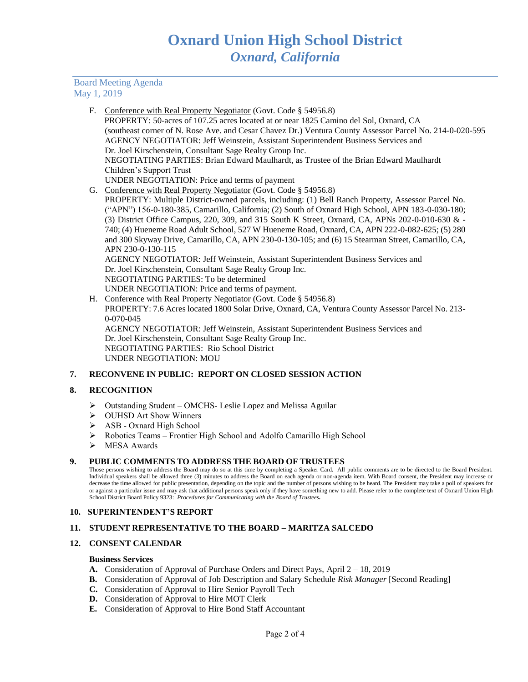## Board Meeting Agenda May 1, 2019

| F. | Conference with Real Property Negotiator (Govt. Code § 54956.8)                                          |
|----|----------------------------------------------------------------------------------------------------------|
|    | PROPERTY: 50-acres of 107.25 acres located at or near 1825 Camino del Sol, Oxnard, CA                    |
|    | (southeast corner of N. Rose Ave. and Cesar Chavez Dr.) Ventura County Assessor Parcel No. 214-0-020-595 |
|    | AGENCY NEGOTIATOR: Jeff Weinstein, Assistant Superintendent Business Services and                        |
|    | Dr. Joel Kirschenstein, Consultant Sage Realty Group Inc.                                                |
|    | NEGOTIATING PARTIES: Brian Edward Maulhardt, as Trustee of the Brian Edward Maulhardt                    |
|    | Children's Support Trust                                                                                 |
|    | UNDER NEGOTIATION: Price and terms of payment                                                            |
|    | G. Conference with Real Property Negotiator (Govt. Code § 54956.8)                                       |
|    | PROPERTY: Multiple District-owned parcels, including: (1) Bell Ranch Property, Assessor Parcel No.       |
|    | ("APN") 156-0-180-385, Camarillo, California; (2) South of Oxnard High School, APN 183-0-030-180;        |
|    | (3) District Office Campus, 220, 309, and 315 South K Street, Oxnard, CA, APNs 202-0-010-630 & -         |
|    | 740; (4) Hueneme Road Adult School, 527 W Hueneme Road, Oxnard, CA, APN 222-0-082-625; (5) 280           |
|    | and 300 Skyway Drive, Camarillo, CA, APN 230-0-130-105; and (6) 15 Stearman Street, Camarillo, CA,       |
|    | APN 230-0-130-115                                                                                        |
|    | AGENCY NEGOTIATOR: Jeff Weinstein, Assistant Superintendent Business Services and                        |
|    | Dr. Joel Kirschenstein, Consultant Sage Realty Group Inc.                                                |
|    | NEGOTIATING PARTIES: To be determined                                                                    |
|    | UNDER NEGOTIATION: Price and terms of payment.                                                           |
|    | H. Conference with Real Property Negotiator (Govt. Code § 54956.8)                                       |
|    | PROPERTY: 7.6 Acres located 1800 Solar Drive, Oxnard, CA, Ventura County Assessor Parcel No. 213-        |
|    | $0-070-045$                                                                                              |
|    | AGENCY NEGOTIATOR: Jeff Weinstein, Assistant Superintendent Business Services and                        |
|    | Dr. Joel Kirschenstein, Consultant Sage Realty Group Inc.                                                |

Dr. Joel Kirschenstein, Consultant Sage Realty Group Inc. NEGOTIATING PARTIES: Rio School District UNDER NEGOTIATION: MOU

## **7. RECONVENE IN PUBLIC: REPORT ON CLOSED SESSION ACTION**

## **8. RECOGNITION**

- ➢ Outstanding Student OMCHS- Leslie Lopez and Melissa Aguilar
- ➢ OUHSD Art Show Winners
- ➢ ASB Oxnard High School
- ➢ Robotics Teams Frontier High School and Adolfo Camarillo High School
- ➢ MESA Awards

## **9. PUBLIC COMMENTS TO ADDRESS THE BOARD OF TRUSTEES**

Those persons wishing to address the Board may do so at this time by completing a Speaker Card. All public comments are to be directed to the Board President. Individual speakers shall be allowed three (3) minutes to address the Board on each agenda or non-agenda item. With Board consent, the President may increase or decrease the time allowed for public presentation, depending on the topic and the number of persons wishing to be heard. The President may take a poll of speakers for or against a particular issue and may ask that additional persons speak only if they have something new to add. Please refer to the complete text of Oxnard Union High School District Board Policy 9323: *Procedures for Communicating with the Board of Trustees.*

## **10. SUPERINTENDENT'S REPORT**

## **11. STUDENT REPRESENTATIVE TO THE BOARD – MARITZA SALCEDO**

## **12. CONSENT CALENDAR**

#### **Business Services**

- **A.** Consideration of Approval of Purchase Orders and Direct Pays, April 2 18, 2019
- **B.** Consideration of Approval of Job Description and Salary Schedule *Risk Manager* [Second Reading]
- **C.** Consideration of Approval to Hire Senior Payroll Tech
- **D.** Consideration of Approval to Hire MOT Clerk
- **E.** Consideration of Approval to Hire Bond Staff Accountant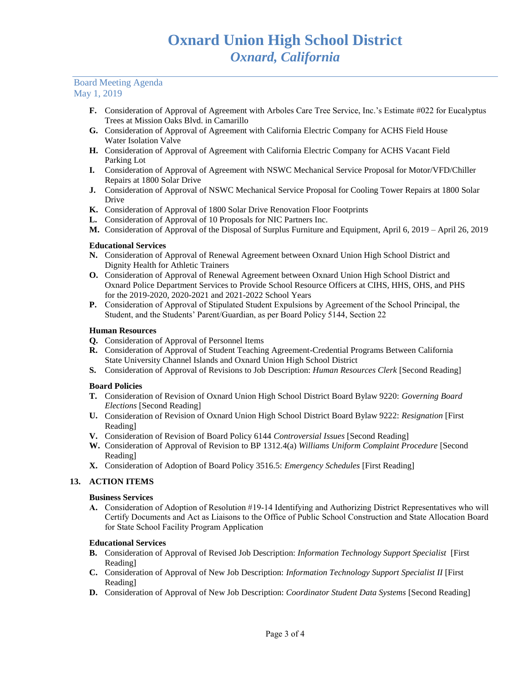## Board Meeting Agenda May 1, 2019

- **F.** Consideration of Approval of Agreement with Arboles Care Tree Service, Inc.'s Estimate #022 for Eucalyptus Trees at Mission Oaks Blvd. in Camarillo
- **G.** Consideration of Approval of Agreement with California Electric Company for ACHS Field House Water Isolation Valve
- **H.** Consideration of Approval of Agreement with California Electric Company for ACHS Vacant Field Parking Lot
- **I.** Consideration of Approval of Agreement with NSWC Mechanical Service Proposal for Motor/VFD/Chiller Repairs at 1800 Solar Drive
- **J.** Consideration of Approval of NSWC Mechanical Service Proposal for Cooling Tower Repairs at 1800 Solar Drive
- **K.** Consideration of Approval of 1800 Solar Drive Renovation Floor Footprints
- **L.** Consideration of Approval of 10 Proposals for NIC Partners Inc.
- **M.** Consideration of Approval of the Disposal of Surplus Furniture and Equipment, April 6, 2019 April 26, 2019

## **Educational Services**

- **N.** Consideration of Approval of Renewal Agreement between Oxnard Union High School District and Dignity Health for Athletic Trainers
- **O.** Consideration of Approval of Renewal Agreement between Oxnard Union High School District and Oxnard Police Department Services to Provide School Resource Officers at CIHS, HHS, OHS, and PHS for the 2019-2020, 2020-2021 and 2021-2022 School Years
- **P.** Consideration of Approval of Stipulated Student Expulsions by Agreement of the School Principal, the Student, and the Students' Parent/Guardian, as per Board Policy 5144, Section 22

## **Human Resources**

- **Q.** Consideration of Approval of Personnel Items
- **R.** Consideration of Approval of Student Teaching Agreement-Credential Programs Between California State University Channel Islands and Oxnard Union High School District
- **S.** Consideration of Approval of Revisions to Job Description: *Human Resources Clerk* [Second Reading]

## **Board Policies**

- **T.** Consideration of Revision of Oxnard Union High School District Board Bylaw 9220: *Governing Board Elections* [Second Reading]
- **U.** Consideration of Revision of Oxnard Union High School District Board Bylaw 9222: *Resignation* [First Reading]
- **V.** Consideration of Revision of Board Policy 6144 *Controversial Issues* [Second Reading]
- **W.** Consideration of Approval of Revision to BP 1312.4(a) *Williams Uniform Complaint Procedure* [Second Reading]
- **X.** Consideration of Adoption of Board Policy 3516.5: *Emergency Schedules* [First Reading]

## **13. ACTION ITEMS**

## **Business Services**

**A.** Consideration of Adoption of Resolution #19-14 Identifying and Authorizing District Representatives who will Certify Documents and Act as Liaisons to the Office of Public School Construction and State Allocation Board for State School Facility Program Application

## **Educational Services**

- **B.** Consideration of Approval of Revised Job Description: *Information Technology Support Specialist* [First Reading]
- **C.** Consideration of Approval of New Job Description: *Information Technology Support Specialist II* [First Reading]
- **D.** Consideration of Approval of New Job Description: *Coordinator Student Data Systems* [Second Reading]